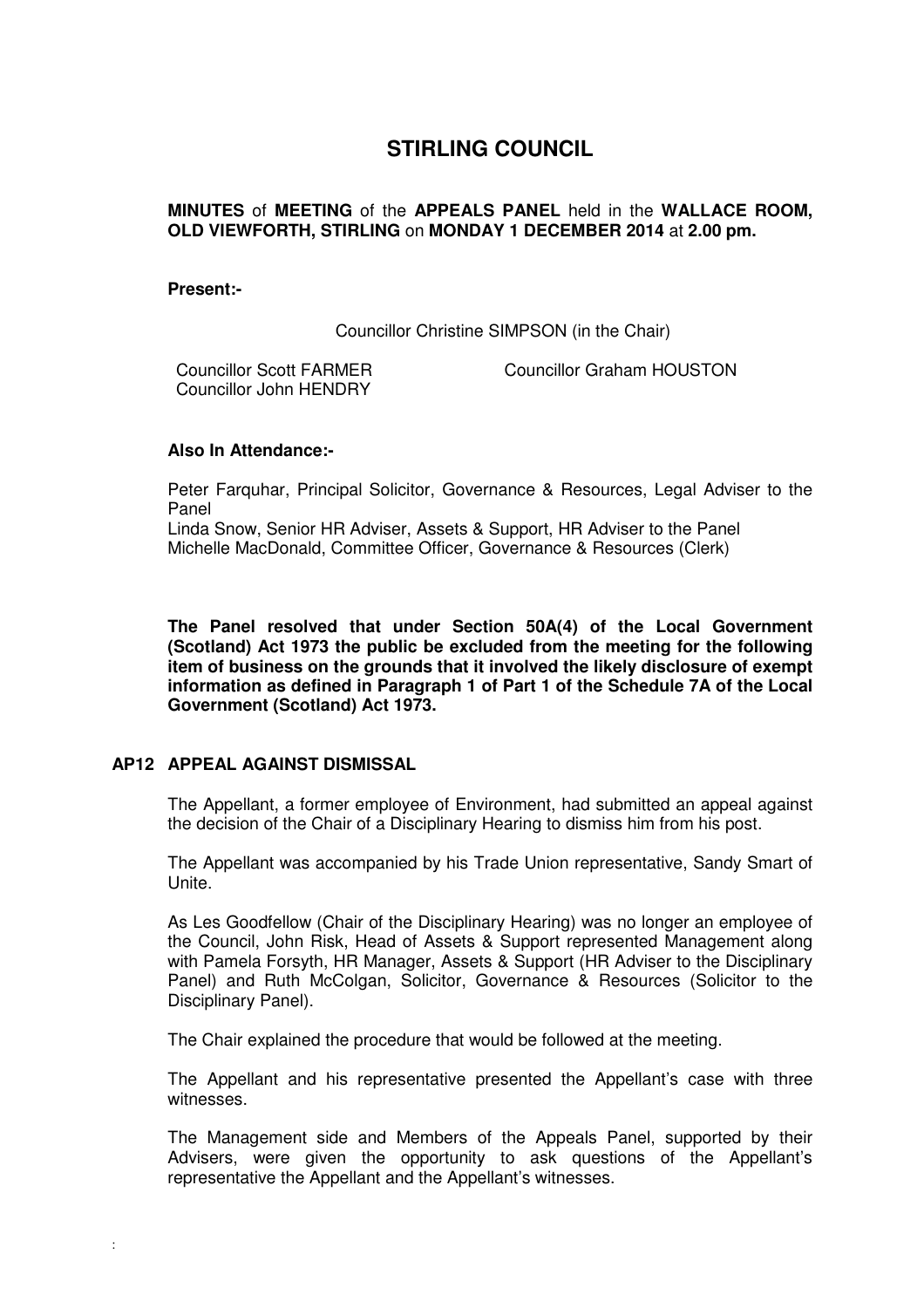# **STIRLING COUNCIL**

### **MINUTES** of **MEETING** of the **APPEALS PANEL** held in the **WALLACE ROOM, OLD VIEWFORTH, STIRLING** on **MONDAY 1 DECEMBER 2014** at **2.00 pm.**

#### **Present:-**

Councillor Christine SIMPSON (in the Chair)

Councillor Scott FARMER Councillor John HENDRY

Councillor Graham HOUSTON

#### **Also In Attendance:-**

Peter Farquhar, Principal Solicitor, Governance & Resources, Legal Adviser to the Panel

Linda Snow, Senior HR Adviser, Assets & Support, HR Adviser to the Panel Michelle MacDonald, Committee Officer, Governance & Resources (Clerk)

**The Panel resolved that under Section 50A(4) of the Local Government (Scotland) Act 1973 the public be excluded from the meeting for the following item of business on the grounds that it involved the likely disclosure of exempt information as defined in Paragraph 1 of Part 1 of the Schedule 7A of the Local Government (Scotland) Act 1973.** 

## **[AP12 APPEAL AGAINST DISMISSAL](/forms/request.htm)**

The Appellant, a former employee of Environment, had submitted an appeal against the decision of the Chair of a Disciplinary Hearing to dismiss him from his post.

The Appellant was accompanied by his Trade Union representative, Sandy Smart of Unite.

As Les Goodfellow (Chair of the Disciplinary Hearing) was no longer an employee of the Council, John Risk, Head of Assets & Support represented Management along with Pamela Forsyth, HR Manager, Assets & Support (HR Adviser to the Disciplinary Panel) and Ruth McColgan, Solicitor, Governance & Resources (Solicitor to the Disciplinary Panel).

The Chair explained the procedure that would be followed at the meeting.

The Appellant and his representative presented the Appellant's case with three witnesses.

The Management side and Members of the Appeals Panel, supported by their Advisers, were given the opportunity to ask questions of the Appellant's representative the Appellant and the Appellant's witnesses.